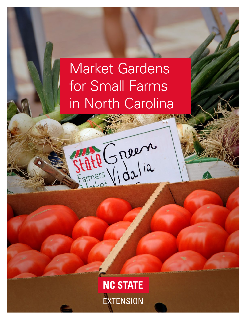# Market Gardens for Small Farms in North Carolina

Fate Green

**NC STATE** EXTENSION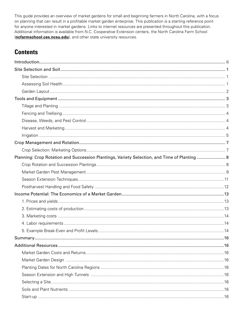This guide provides an overview of market gardens for small and beginning farmers in North Carolina, with a focus on planning that can result in a profitable market garden enterprise. This publication is a starting reference point for anyone interested in market gardens. Links to internet resources are presented throughout this publication. Additional information is available from N.C. Cooperative Extension centers, the North Carolina Farm School (ncfarmschool.ces.ncsu.edu), and other state university resources.

### **Contents**

| Planning: Crop Rotation and Succession Plantings, Variety Selection, and Time of Planting  8 |  |
|----------------------------------------------------------------------------------------------|--|
|                                                                                              |  |
|                                                                                              |  |
|                                                                                              |  |
|                                                                                              |  |
|                                                                                              |  |
|                                                                                              |  |
|                                                                                              |  |
|                                                                                              |  |
|                                                                                              |  |
|                                                                                              |  |
|                                                                                              |  |
|                                                                                              |  |
|                                                                                              |  |
|                                                                                              |  |
|                                                                                              |  |
|                                                                                              |  |
|                                                                                              |  |
|                                                                                              |  |
|                                                                                              |  |
|                                                                                              |  |
|                                                                                              |  |
|                                                                                              |  |
|                                                                                              |  |
|                                                                                              |  |
|                                                                                              |  |
|                                                                                              |  |
|                                                                                              |  |
|                                                                                              |  |
|                                                                                              |  |
|                                                                                              |  |
|                                                                                              |  |
|                                                                                              |  |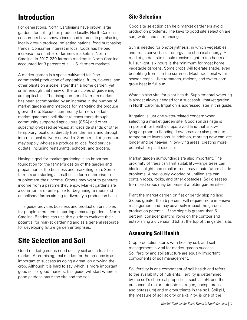# <span id="page-2-0"></span>**Introduction**

For generations, North Carolinians have grown large gardens for selling their produce locally. North Carolina consumers have shown increased interest in purchasing locally grown produce, reflecting national food purchasing trends. Consumer interest in local foods has helped increase the number of farmers markets in North Carolina. In 2017, 230 farmers markets in North Carolina accounted for 3 percent of all U.S. farmers markets.

A market garden is a space cultivated for "the commercial production of vegetables, fruits, flowers, and other plants on a scale larger than a home garden, yet small enough that many of the principles of gardening are applicable." The rising number of farmers markets has been accompanied by an increase in the number of market gardens and methods for marketing the produce grown there. Besides community farmers markets, market gardeners sell direct to consumers through community supported agriculture (CSA) and other subscription-based services; at roadside stands or other temporary locations; directly from the farm; and through informal local delivery networks. Some market gardeners may supply wholesale produce to local food service outlets, including restaurants, schools, and grocers.

Having a goal for market gardening is an important foundation for the farmer's design of the garden and preparation of the business and marketing plan. Some farmers are starting a small-scale farm enterprise to supplement their income. Others may want to generate income from a pastime they enjoy. Market gardens are a common farm enterprise for beginning farmers and established farms aiming to diversify a production base.

This guide provides business and production principles for people interested in starting a market garden in North Carolina. Readers can use this guide to evaluate their potential for market gardening and as a general resource for developing future garden enterprises.

# **Site Selection and Soil**

Good market gardens need quality soil and a feasible market. A promising, real market for the produce is as important to success as doing a great job growing the crop. Although it is hard to say which is more important, good soil or good markets, this guide will start where all good gardens start: the site and the soil.

### **Site Selection**

Good site selection can help market gardeners avoid production problems. The keys to good site selection are sun, water, and surroundings.

Sun is needed for photosynthesis, in which vegetables and fruits convert solar energy into chemical energy. A market garden site should receive eight to ten hours of full sunlight; six hours is the minimum for most home vegetable gardens. Some crops will tolerate shade, even benefiting from it in the summer. Most traditional warmseason crops—like tomatoes, melons, and sweet corn grow best in full sun.

Water is also vital for plant health. Supplemental watering is almost always needed for a successful market garden in North Carolina. Irrigation is addressed later in this guide.

Irrigation is just one water-related concern when selecting a market garden site. Good soil drainage is important for healthy crops; avoid land that is lowlying or prone to flooding. Low areas are also prone to temperature inversions. In addition, morning dew can last longer and be heavier in low-lying areas, creating more potential for plant disease.

Market garden surroundings are also important. The proximity of trees can limit suitability—large trees can block sunlight, and smaller trees may create future shade problems. A previously wooded or untilled site can contain roots, rocks, and other obstacles. Soil diseases from past crops may be present at older garden sites.

Plant the market garden on flat or gently sloping land. Slopes greater than 5 percent will require more intensive management and may adversely impact the garden's production potential. If the slope is greater than 5 percent, consider planting rows on the contour and establishing a diversion ditch at the top of the garden site.

### **Assessing Soil Health**

Crop production starts with healthy soil, and soil management is vital for market garden success. Soil fertility and soil structure are equally important components of soil management.

Soil fertility is one component of soil health and refers to the availability of nutrients. Fertility is determined by the soil's chemical properties, such as pH, and the presence of major nutrients (nitrogen, phosphorous, and potassium) and micronutrients in the soil. Soil pH, the measure of soil acidity or alkalinity, is one of the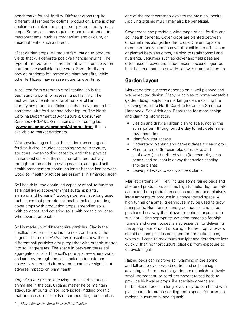<span id="page-3-0"></span>benchmarks for soil fertility. Different crops require different pH ranges for optimal production. Lime is often applied to maintain the proper soil pH required by many crops. Some soils may require immediate attention to macronutrients, such as magnesium and calcium, or micronutrients, such as boron.

Most garden crops will require fertilization to produce yields that will generate positive financial returns. The type of fertilizer or soil amendment will influence when nutrients are available to the crop. Some fertilizers provide nutrients for immediate plant benefits, while other fertilizers may release nutrients over time.

A soil test from a reputable soil testing lab is the best starting point for assessing soil fertility. The test will provide information about soil pH and identify any nutrient deficiencies that may need to be corrected with fertilizer and other inputs. The North Carolina Department of Agriculture & Consumer Services (NCDA&CS) maintains a soil testing lab (**[www.ncagr.gov/agronomi/sthome.htm](http://www.ncagr.gov/agronomi/sthome.htm)**) that is available to market gardeners.

While evaluating soil health includes measuring soil fertility, it also includes assessing the soil's texture, structure, water-holding capacity, and other physical characteristics. Healthy soil promotes productivity throughout the entire growing season, and good soil health management continues long after the last harvest. Good soil health practices are essential in a market garden.

Soil health is "the continued capacity of soil to function as a vital living ecosystem that sustains plants, animals, and humans." Good gardeners have long used techniques that promote soil health, including rotating cover crops with production crops, amending soils with compost, and covering soils with organic mulches whenever appropriate.

Soil is made up of different size particles. Clay is the smallest size particle, silt is the next, and sand is the largest. The term *soil structure* describes how these different soil particles group together with organic matter into soil aggregates. The space in between these soil aggregates is called the soil's pore space—where water and air flow through the soil. Lack of adequate pore space for water and air movement can have significant adverse impacts on plant health.

*Organic matter* is the decaying remains of plant and animal life in the soil. Organic matter helps maintain adequate amounts of soil pore space. Adding organic matter such as leaf molds or compost to garden soils is one of the most common ways to maintain soil health. Applying organic mulch may also be beneficial.

Cover crops can provide a wide range of soil fertility and soil health benefits. Cover crops are planted between or sometimes alongside other crops. Cover crops are most commonly used to cover the soil in the off-season or planted between crops, helping to retain topsoil and nutrients. Legumes such as clover and field peas are often used in cover crop seed mixes because legumes host bacteria that can provide soil with nutrient benefits.

### **Garden Layout**

Market garden success depends on a well-planned and well-executed design. Many principles of home vegetable garden design apply to a market garden, including the following from the North Carolina Extension Gardener Handbook. See Additional Resources for more design and planning information.

- Design and draw a garden plan to scale, noting the sun's pattern throughout the day to help determine row orientation.
- Identify water access.
- Understand planting and harvest dates for each crop.
- Plant tall crops (for example, corn, okra, and sunflowers) and trellised vines (for example, peas, beans, and squash) in a way that avoids shading shorter plants.
- Leave pathways to easily access plants.

Market gardens will likely include some raised beds and sheltered production, such as high tunnels. High tunnels can extend the production season and produce relatively large amounts of produce in a concentrated space. A high tunnel or a small greenhouse may be used to grow transplants. High tunnels and greenhouses should be positioned in a way that allows for optimal exposure to sunlight. Using appropriate covering materials for high tunnels and greenhouses is also essential for delivering the appropriate amount of sunlight to the crop. Growers should choose plastics designed for horticultural use, which will capture maximum sunlight and deteriorate less quickly (than nonhorticultural plastics) from exposure to ultraviolet light.

Raised beds can improve soil warming in the spring and fall and provide weed control and soil drainage advantages. Some market gardeners establish relatively small, permanent, or semi-permanent raised beds to produce high-value crops like specialty greens and herbs. Raised beds, in long rows, may be combined with plasticulture for crops needing more space, for example, melons, cucumbers, and squash.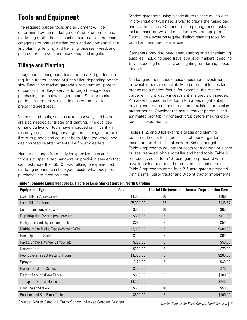# <span id="page-4-0"></span>**Tools and Equipment**

The required garden tools and equipment will be determined by the market garden's size, crop mix, and marketing methods. This section summarizes the main categories of market garden tools and equipment: tillage and planting; fencing and trellising; disease, weed, and pest control; harvest and marketing; and irrigation.

### **Tillage and Planting**

Tillage and planting operations for a market garden can require a tractor instead of just a tiller, depending on the size. Beginning market gardeners may rent equipment or custom hire tillage service to forgo the expense of purchasing and maintaining a tractor. Smaller market gardeners frequently invest in a used rototiller for preparing seedbeds.

Various hand tools, such as rakes, shovels, and hoes, are also needed for tillage and planting. The qualities of hand cultivation tools have improved significantly in recent years, including new ergonomic designs for tools like stirrup hoes and collinear hoes. Updated wheel hoe designs feature attachments like finger weeders.

Hand tools range from fairly inexpensive hoes and trowels to specialized hand-drawn precision seeders that can cost more than \$500 new. Talking to experienced market gardeners can help you decide what equipment purchases are most prudent.

Market gardeners using plasticulture (plastic mulch with micro-irrigation) will need a way to create the raised bed and lay the plastic. Options for completing these tasks include hand-drawn and machine-powered equipment. Plasticulture systems require distinct planting tools for both hand and mechanical use.

Gardeners may also need seed starting and transplanting supplies, including seed trays, soil block makers, seedling trays, seedling heat mats, and lighting for starting seeds indoors.

Market gardeners should base equipment investments on which crops are most likely to be profitable. If salad greens are a market focus, for example, the market gardener might justify investment in a precision seeder. A market focused on heirloom tomatoes might entail buying seed-starting equipment and building a transplant starter house. Consider the actual market potential and estimated profitability for each crop before making cropspecific investments.

Tables 1, 2, and 3 list example tillage and planting equipment costs for three scales of market gardens, based on the North Carolina Farm School budgets. Table 1 represents equipment costs for a garden of 1 acre or less prepared with a rototiller and hand tools. Table 2 represents costs for a 1.5-acre garden prepared with a walk-behind tractor and more extensive hand tools. Table 3 represents costs for a 2.5-acre garden prepared with a small utility tractor and 3-point tractor implements.

| <b>Equipment Type</b>                   | Cost       | <b>Useful Life (years)</b> | <b>Annual Depreciation Cost</b> |
|-----------------------------------------|------------|----------------------------|---------------------------------|
| Used Tiller + Accessories               | \$1,000.00 | 10                         | \$100.00                        |
| Used Tiller for Farm                    | \$5,000.00 | 12                         | \$416.67                        |
| Cold Room (converted shed)              | \$600.00   | 10                         | \$60.00                         |
| Drip Irrigation System (well present)   | \$506.82   | 5                          | \$101.36                        |
| Fertigation Unit: bypass and tank       | \$250.00   | 5                          | \$50.00                         |
| Multipurpose Trellis, T-post+Woven Wire | \$2,000.00 | 5                          | \$400.00                        |
| <b>Hand Operated Seeder</b>             | \$300.00   | 5                          | \$60.00                         |
| Rakes, Shovels, Wheel Barrow, etc.      | \$250.00   | 5                          | \$50.00                         |
| Harvest Cart                            | \$350.00   | 5                          | \$70.00                         |
| Row Covers, Insect Netting, Hoops       | \$1,000.00 | 5                          | \$200.00                        |
| Sprayer                                 | \$120.00   | 5                          | \$40.00                         |
| Harvest Baskets, Scales                 | \$350.00   | 5                          | \$70.00                         |
| Electric Fencing (Deer Fence)           | \$500.00   | 5                          | \$100.00                        |
| <b>Transplant Starter House</b>         | \$1,200.00 | 5                          | \$240.00                        |
| <b>Hand Wash Station</b>                | \$500.00   | 10                         | \$50.00                         |
| <b>Benches and Soil Block Tools</b>     | \$500.00   | 5                          | \$100.00                        |

**Table 1. Sample Equipment Costs, 1 acre or Less Market Garden, North Carolina**

Source: North Carolina Farm School Market Garden Budget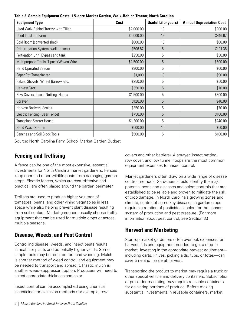<span id="page-5-0"></span>**Table 2. Sample Equipment Costs, 1.5-acre Market Garden, Walk-Behind Tractor, North Carolina**

| <b>Equipment Type</b>                   | Cost       | <b>Useful Life (years)</b> | <b>Annual Depreciation Cost</b> |
|-----------------------------------------|------------|----------------------------|---------------------------------|
| Used Walk-Behind Tractor with Tiller    | \$2,000.00 | 10                         | \$200.00                        |
| <b>Used Truck for Farm</b>              | \$5,000.00 | 12                         | \$416.67                        |
| Cold Room (converted shed)              | \$600.00   | 10                         | \$60.00                         |
| Drip Irrigation System (well present)   | \$506.82   | 5                          | \$101.36                        |
| Fertigation Unit: Bypass and tank       | \$250.00   | 5                          | \$50.00                         |
| Multipurpose Trellis, T-post+Woven Wire | \$2,500.00 | $\overline{5}$             | \$500.00                        |
| <b>Hand Operated Seeder</b>             | \$300.00   | 5                          | \$60.00                         |
| Paper Pot Transplanter                  | \$1,000    | 10                         | \$90.00                         |
| Rakes, Shovels, Wheel Barrow, etc.      | \$250.00   | 5                          | \$50.00                         |
| <b>Harvest Cart</b>                     | \$350.00   | 5                          | \$70.00                         |
| Row Covers, Insect Netting, Hoops       | \$1,500.00 | 5                          | \$300.00                        |
| Sprayer                                 | \$120.00   | 5                          | \$40.00                         |
| Harvest Baskets, Scales                 | \$350.00   | 5                          | \$70.00                         |
| Electric Fencing (Deer Fence)           | \$750.00   | 5                          | \$100.00                        |
| <b>Transplant Starter House</b>         | \$1,200.00 | 5                          | \$240.00                        |
| <b>Hand Wash Station</b>                | \$500.00   | 10                         | \$50.00                         |
| <b>Benches and Soil Block Tools</b>     | \$500.00   | 5                          | \$100.00                        |

Source: North Carolina Farm School Market Garden Budget

### **Fencing and Trellising**

A fence can be one of the most expensive, essential investments for North Carolina market gardeners. Fences keep deer and other wildlife pests from damaging garden crops. Electric fences, which are cost-effective and practical, are often placed around the garden perimeter.

Trellises are used to produce higher volumes of tomatoes, beans, and other vining vegetables in less space while also helping prevent plant disease resulting from soil contact. Market gardeners usually choose trellis equipment that can be used for multiple crops or across multiple seasons.

### **Disease, Weeds, and Pest Control**

Controlling disease, weeds, and insect pests results in healthier plants and potentially higher yields. Some simple tools may be required for hand weeding. Mulch is another method of weed control, and equipment may be needed to transport and spread it. Plastic mulch is another weed-suppressant option. Producers will need to select appropriate thickness and color.

Insect control can be accomplished using chemical insecticides or exclusion methods (for example, row covers and other barriers). A sprayer, insect netting, row cover, and low tunnel hoops are the most common equipment expenses for insect control.

Market gardeners often draw on a wide range of disease control methods. Gardeners should identify the major potential pests and diseases and select controls that are established to be reliable and proven to mitigate the risk of crop damage. In North Carolina's growing zones and climate, control of some key diseases in garden crops requires a rotation of pesticides labeled for the chosen system of production and pest pressure. (For more information about pest control, see Section 3.)

### **Harvest and Marketing**

Start-up market gardeners often overlook expenses for harvest aids and equipment needed to get a crop to market. Investing in the appropriate harvest equipment including carts, knives, picking aids, tubs, or totes—can save time and hassle at harvest.

Transporting the product to market may require a truck or other special vehicle and delivery containers. Subscription or pre-order marketing may require reusable containers for delivering portions of produce. Before making substantial investments in reusable containers, market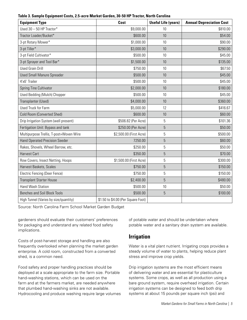<span id="page-6-0"></span>

| <b>Equipment Type</b>                   | Cost                               | <b>Useful Life (years)</b> | <b>Annual Depreciation Cost</b> |
|-----------------------------------------|------------------------------------|----------------------------|---------------------------------|
| Used 30 - 50 HP Tractor*                | \$9,000.00                         | 10                         | \$810.00                        |
|                                         |                                    |                            |                                 |
| Tractor Loader/Bucket*                  | \$600.00                           | 10                         | \$54.00                         |
| 3-pt Rotary Mower*                      | \$1,000.00                         | 10                         | \$90.00                         |
| 3-pt Tiller*                            | \$3,000.00                         | 10                         | \$290.00                        |
| 3-pt Field Cultivator*                  | \$500.00                           | 10                         | \$45.00                         |
| 3-pt Sprayer and Tool Bar*              | \$1,500.00                         | 10                         | \$135.00                        |
| <b>Used Grain Drill</b>                 | \$750.00                           | 10                         | \$67.50                         |
| <b>Used Small Manure Spreader</b>       | \$500.00                           | 10                         | \$45.00                         |
| 4'x6' Trailer                           | \$500.00                           | 10                         | \$45.00                         |
| Spring Tine Cultivator                  | \$2,000.00                         | 10                         | \$180.00                        |
| <b>Used Bedding (Mulch) Chopper</b>     | \$500.00                           | 10                         | \$45.00                         |
| Transplanter (Used)                     | \$4,000.00                         | 10                         | \$360.00                        |
| <b>Used Truck for Farm</b>              | \$5,000.00                         | 12                         | \$416.67                        |
| <b>Cold Room (Converted Shed)</b>       | \$600.00                           | 10                         | \$60.00                         |
| Drip Irrigation System (well present)   | \$506.82 (Per Acre)                | 5                          | \$101.36                        |
| Fertigation Unit: Bypass and tank       | \$250.00 (Per Acre)                | 5                          | \$50.00                         |
| Multipurpose Trellis, T-post+Woven Wire | \$2,500.00 (First Acre)            | 5                          | \$500.00                        |
| <b>Hand Operated Precision Seeder</b>   | 7250.00                            | 5                          | \$60.00                         |
| Rakes, Shovels, Wheel Barrow, etc.      | \$250.00                           | 5                          | \$50.00                         |
| <b>Harvest Cart</b>                     | \$350.00                           | 5                          | \$70.00                         |
| Row Covers, Insect Netting, Hoops       | \$1,500.00 (First Acre)            | 5                          | \$300.00                        |
| Harvest Baskets, Scales                 | \$750.00                           | 5                          | \$150.00                        |
| <b>Electric Fencing (Deer Fence)</b>    | \$750.00                           | 5                          | \$150.00                        |
| <b>Transplant Starter House</b>         | \$2,400.00                         | $\overline{5}$             | \$480.00                        |
| Hand Wash Station                       | \$500.00                           | 10                         | \$50.00                         |
| <b>Benches and Soil Block Tools</b>     | \$500.00                           | $\overline{5}$             | \$100.00                        |
| High Tunnel (Varies by size/quantity)   | \$1.50 to \$4.00 (Per Square Foot) |                            |                                 |

Source: North Carolina Farm School Market Garden Budget

gardeners should evaluate their customers' preferences for packaging and understand any related food safety implications.

Costs of post-harvest storage and handling are also frequently overlooked when planning the market garden enterprise. A cold room, constructed from a converted shed, is a common need.

Food safety and proper handling practices should be deployed at a scale appropriate to the farm size. Portable hand-washing stations, which can be used on the farm and at the farmers market, are needed anywhere that plumbed hand-washing sinks are not available. Hydrocooling and produce washing require large volumes

of potable water and should be undertaken where potable water and a sanitary drain system are available.

### **Irrigation**

Water is a vital plant nutrient. Irrigating crops provides a steady volume of water to plants, helping reduce plant stress and improve crop yields.

Drip irrigation systems are the most efficient means of delivering water and are essential for plasticulture systems. Some crops, as well as all production using a bare ground system, require overhead irrigation. Certain irrigation systems can be designed to feed both drip systems at about 15 pounds per square inch (psi) and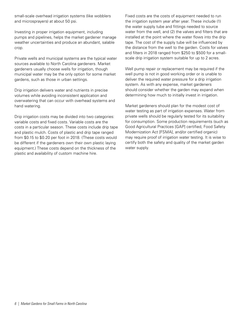small-scale overhead irrigation systems (like wobblers and microsprayers) at about 50 psi.

Investing in proper irrigation equipment, including pumps and pipelines, helps the market gardener manage weather uncertainties and produce an abundant, salable crop.

Private wells and municipal systems are the typical water sources available to North Carolina gardeners. Market gardeners usually choose wells for irrigation, though municipal water may be the only option for some market gardens, such as those in urban settings.

Drip irrigation delivers water and nutrients in precise volumes while avoiding inconsistent application and overwatering that can occur with overhead systems and hand watering.

Drip irrigation costs may be divided into two categories: variable costs and fixed costs. Variable costs are the costs in a particular season. These costs include drip tape and plastic mulch. Costs of plastic and drip tape ranged from \$0.15 to \$0.20 per foot in 2018. (These costs would be different if the gardeners own their own plastic laying equipment.) These costs depend on the thickness of the plastic and availability of custom machine hire.

Fixed costs are the costs of equipment needed to run the irrigation system year after year. These include (1) the water supply tube and fittings needed to source water from the well, and (2) the valves and filters that are installed at the point where the water flows into the drip tape. The cost of the supply tube will be influenced by the distance from the well to the garden. Costs for valves and filters in 2018 ranged from \$250 to \$500 for a smallscale drip irrigation system suitable for up to 2 acres.

Well pump repair or replacement may be required if the well pump is not in good working order or is unable to deliver the required water pressure for a drip irrigation system. As with any expense, market gardeners should consider whether the garden may expand when determining how much to initially invest in irrigation.

Market gardeners should plan for the modest cost of water testing as part of irrigation expenses. Water from private wells should be regularly tested for its suitability for consumption. Some production requirements (such as Good Agricultural Practices [GAP] certified, Food Safety Modernization Act [FSMA], and/or certified organic) may require proof of irrigation water testing. It is wise to certify both the safety and quality of the market garden water supply.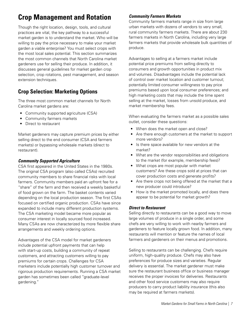# <span id="page-8-0"></span>**Crop Management and Rotation**

Though the right location, design, tools, and cultural practices are vital, the key pathway to a successful market garden is to understand the market. Who will be willing to pay the price necessary to make your market garden a viable enterprise? You must select crops with the most local sales potential. This section summarizes the most common channels that North Carolina market gardeners use for selling their produce. In addition, it discusses general guidelines for market garden crop selection, crop rotations, pest management, and season extension techniques.

### **Crop Selection: Marketing Options**

The three most common market channels for North Carolina market gardens are:

- Community supported agriculture (CSA)
- Community farmers markets
- Direct to restaurant

Market gardeners may capture premium prices by either selling direct to the end consumer (CSA and farmers markets) or bypassing wholesale markets (direct to restaurant).

#### *Community Supported Agriculture*

CSA first appeared in the United States in the 1980s. The original CSA program (also called CSAs) recruited community members to share financial risks with local farmers. Community members paid an upfront fee for a "share" of the farm and then received a weekly basketful of food grown on the farm. The basket contents varied depending on the local production season. The first CSAs focused on certified organic production. CSAs have since expanded to include many different production systems. The CSA marketing model became more popular as consumer interest in locally sourced food increased. Many CSAs are now characterized by more flexible share arrangements and weekly ordering options.

Advantages of the CSA model for market gardeners include potential upfront payments that can help with start-up costs, building a community of repeat customers, and attracting customers willing to pay premiums for certain crops. Challenges for CSA marketers include potentially high customer turnover and rigorous production requirements. Running a CSA market garden has sometimes been called "graduate-level gardening."

#### *Community Farmers Markets*

Community farmers markets range in size from large urban markets with dozens of vendors to very small, rural community farmers markets. There are about 230 farmers markets in North Carolina, including very large farmers markets that provide wholesale bulk quantities of produce.

Advantages to selling at a farmers market include potential price premiums from selling directly to consumers and growth opportunities in product mix and volumes. Disadvantages include the potential lack of control over market location and customer turnout; potentially limited consumer willingness to pay price premiums based upon local consumer preferences; and high marketing costs that may include the time spent selling at the market, losses from unsold produce, and market membership fees.

When evaluating the farmers market as a possible sales outlet, consider these questions:

- When does the market open and close?
- Are there enough customers at the market to support more vendors?
- Is there space available for new vendors at the market?
- What are the vendor responsibilities and obligations to the market (for example, membership fees)?
- What crops are most popular with market customers? Are these crops sold at prices that can cover production costs and generate profits?
- Are there crops not being offered at the market that a new producer could introduce?
- How is the market promoted locally, and does there appear to be potential for market growth?

#### *Direct to Restaurant*

Selling directly to restaurants can be a good way to move large volumes of produce in a single order, and some chefs are very willing to work with nearby farmers and gardeners to feature locally grown food. In addition, many restaurants will mention or feature the names of local farmers and gardeners on their menus and promotions.

Selling to restaurants can be challenging. Chefs require uniform, high-quality produce. Chefs may also have preferences for produce sizes and varieties. Regular delivery is essential. The market gardener must make sure the restaurant business office or business manager receives the proper invoices for deliveries. Restaurants and other food service customers may also require producers to carry product liability insurance (this also may be required at farmers markets).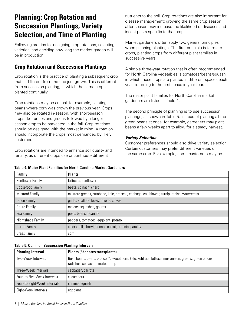# <span id="page-9-0"></span>**Planning: Crop Rotation and Succession Plantings, Variety Selection, and Time of Planting**

Following are tips for designing crop rotations, selecting varieties, and deciding how long the market garden will be in production.

### **Crop Rotation and Succession Plantings**

Crop rotation is the practice of planting a subsequent crop that is different from the one just grown. This is different from succession planting, in which the same crop is planted continually.

Crop rotations may be annual, for example, planting beans where corn was grown the previous year. Crops may also be rotated in-season, with short-season crops like turnips and greens followed by a longerseason crop to be harvested in the fall. Crop rotations should be designed with the market in mind. A rotation should incorporate the crops most demanded by likely customers.

Crop rotations are intended to enhance soil quality and fertility, as different crops use or contribute different

nutrients to the soil. Crop rotations are also important for disease management; growing the same crop season after season may increase the likelihood of diseases and insect pests specific to that crop.

Market gardeners often apply two general principles when planning plantings. The first principle is to rotate crops, planting crops from different plant families in successive years.

A simple three-year rotation that is often recommended for North Carolina vegetables is tomatoes/beans/squash, in which those crops are planted in different spaces each year, returning to the first space in year four.

The major plant families for North Carolina market gardeners are listed in Table 4.

The second principle of planning is to use succession plantings, as shown in Table 5. Instead of planting all the green beans at once, for example, gardeners may plant beans a few weeks apart to allow for a steady harvest.

#### *Variety Selection*

Customer preferences should also drive variety selection. Certain customers may prefer different varieties of the same crop. For example, some customers may be

| <b>Family</b>           | <b>Plants</b>                                                                              |
|-------------------------|--------------------------------------------------------------------------------------------|
| Sunflower Family        | lettuces, sunflower                                                                        |
| <b>Goosefoot Family</b> | beets, spinach, chard                                                                      |
| <b>Mustard Family</b>   | mustard greens, rutabaga, kale, broccoli, cabbage, cauliflower, turnip, radish, watercress |
| <b>Onion Family</b>     | garlic, shallots, leeks, onions, chives                                                    |
| Gourd Family            | melons, squashes, gourds                                                                   |
| Pea Family              | peas, beans, peanuts                                                                       |
| Nightshade Family       | peppers, tomatoes, eggplant. potato                                                        |
| <b>Carrot Family</b>    | celery, dill, chervil, fennel, carrot, parsnip, parsley                                    |
| Grass Family            | corn                                                                                       |

#### **Table 4. Major Plant Families for North Carolina Market Gardeners**

#### **Table 5. Common Succession Planting Intervals**

| <b>Planting Interval</b>      | <b>Plants (*denotes transplants)</b>                                                                                                     |
|-------------------------------|------------------------------------------------------------------------------------------------------------------------------------------|
| Two-Week Intervals            | Bush beans, beets, broccoli*, sweet corn, kale, kohlrabi, lettuce, muskmelon, greens, green onions,<br>radishes, spinach, tomato, turnip |
| Three-Week Intervals          | cabbage*, carrots                                                                                                                        |
| Four- to Five-Week Intervals  | cucumbers                                                                                                                                |
| Four- to Eight-Week Intervals | summer squash                                                                                                                            |
| Eight-Week Intervals          | eggplant                                                                                                                                 |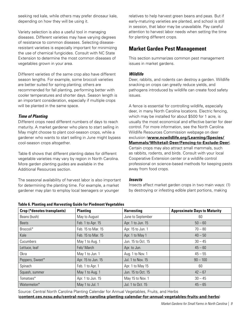<span id="page-10-0"></span>seeking red kale, while others may prefer dinosaur kale, depending on how they will be using it.

Variety selection is also a useful tool in managing diseases. Different varieties may have varying degrees of resistance to common diseases. Selecting diseaseresistant varieties is especially important for minimizing the use of chemical fungicides. Consult with NC State Extension to determine the most common diseases of vegetables grown in your area.

Different varieties of the same crop also have different season lengths. For example, some broccoli varieties are better suited for spring planting; others are recommended for fall planting, performing better with cooler temperatures and shorter days. Season length is an important consideration, especially if multiple crops will be planted in the same space.

#### *Time of Planting*

Different crops need different numbers of days to reach maturity. A market gardener who plans to start selling in May might choose to plant cool-season crops, while a gardener who wants to start selling in June might bypass cool-season crops altogether.

Table 6 shows that different planting dates for different vegetable varieties may vary by region in North Carolina. More garden planting guides are available in the Additional Resources section.

The seasonal availability of harvest labor is also important for determining the planting time. For example, a market gardener may plan to employ local teenagers or younger

relatives to help harvest green beans and peas. But if early-maturing varieties are planted, and school is still in session, that labor may be unavailable. Pay careful attention to harvest labor needs when setting the time for planting different crops.

### **Market Garden Pest Management**

This section summarizes common pest management issues in market gardens.

#### *Wildlife*

Deer, rabbits, and rodents can destroy a garden. Wildlife snacking on crops can greatly reduce yields, and pathogens introduced by wildlife can create food safety issues.

A fence is essential for controlling wildlife, especially deer, in many North Carolina locations. Electric fencing, which may be installed for about \$500 for 1 acre, is usually the most economical and effective barrier for deer control. For more information, see the North Carolina Wildlife Resources Commission webpage on deer exclusion (**[www.ncwildlife.org/Learning/Species/](https://www.ncwildlife.org/Learning/Species/Mammals/Whitetail-Deer/Fencing-to-Exclude-Deer) [Mammals/Whitetail-Deer/Fencing-to-Exclude-Deer](https://www.ncwildlife.org/Learning/Species/Mammals/Whitetail-Deer/Fencing-to-Exclude-Deer)**). Certain crops may also attract small mammals, such as rabbits, rodents, and birds. Consult with your local Cooperative Extension center or a wildlife control professional on science-based methods for keeping pests away from food crops.

#### *Insects*

Insects affect market garden crops in two main ways: (1) by destroying or infesting edible plant portions, making

| Crop (*denotes transplants) | <b>Planting</b>    | <b>Harvesting</b>  | <b>Approximate Days to Maturity</b> |
|-----------------------------|--------------------|--------------------|-------------------------------------|
| Beans (bush)                | May to August      | June to September  | 60                                  |
| <b>Beets</b>                | Feb. 1 to Apr. 15  | Apr. 1 to Jun. 15  | $50 - 60$                           |
| Broccoli*                   | Feb. 15 to Mar. 15 | Apr. 15 to Jun. 1  | $70 - 80$                           |
| Kale                        | Feb. 15 to Mar. 15 | Apr. 1 to May 1    | $40 - 50$                           |
| Cucumbers                   | May 1 to Aug. 1    | Jun. 15 to Oct. 15 | $30 - 45$                           |
| Lettuce, leaf               | Feb/March          | Apr. to Jun.       | $45 - 60$                           |
| Okra                        | May 1 to Jun. 1    | Aug. 1 to Nov. 1   | $45 - 55$                           |
| Peppers, Sweet*             | Apr. 15 to Jun. 15 | Jul. 1 to Nov. 15  | $90 - 100$                          |
| Spinach                     | Feb. 1 to Apr. 1   | Apr. 1 to May 15   | 60                                  |
| Squash, summer              | May 1 to Aug. 1    | Jun. 15 to Oct. 15 | $42 - 67$                           |
| Tomatoes*                   | Apr. 1 to Jun. 15  | May 15 to Nov. 1   | $30 - 45$                           |
| Watermelon*                 | May 1 to Jul. 1    | Jul. 1 to Oct. 15  | $45 - 65$                           |

Source: Central North Carolina Planting Calendar for Annual Vegetables, Fruits, and Herbs (**[content.ces.ncsu.edu/central-north-carolina-planting-calendar-for-annual-vegetables-fruits-and-herbs](https://content.ces.ncsu.edu/central-north-carolina-planting-calendar-for-annual-vegetables-fruits-a)**)

**Table 6. Planting and Harvesting Guide for Piedmont Vegetables**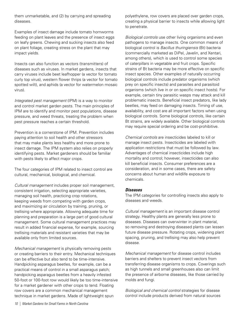them unmarketable, and (2) by carrying and spreading diseases.

Examples of insect damage include tomato hornworms feeding on plant leaves and the presence of insect eggs on leafy greens. Chewing and sucking insects also feed on plant foliage, creating stress on the plant that may impact yields.

Insects can also function as vectors (transmitters) of diseases such as viruses. In market gardens, insects that carry viruses include beet leafhopper (a vector for tomato curly top virus), western flower thrips (a vector for tomato spotted wilt), and aphids (a vector for watermelon mosaic virus).

*Integrated pest management* (IPM) is a way to monitor and control market garden pests. The main principles of IPM are to identify and monitor pest populations, disease pressure, and weed threats, treating the problem when pest pressure reaches a certain threshold.

Prevention is a cornerstone of IPM. Prevention includes paying attention to soil health and other stressors that may make plants less healthy and more prone to insect damage. The IPM system also relies on properly identifying pests. Market gardeners should be familiar with pests likely to affect major crops.

The four categories of IPM related to insect control are cultural, mechanical, biological, and chemical.

*Cultural management* includes proper soil management, consistent irrigation, selecting appropriate varieties, managing soil health, practicing crop rotations, keeping weeds from competing with garden crops, and maximizing air circulation by training, pruning, or trellising where appropriate. Allowing adequate time for planning and preparation is a large part of good cultural management. Some cultural management practices may result in added financial expense, for example, sourcing trellising materials and resistant varieties that may be available only from limited sources.

*Mechanical management* is physically removing pests or creating barriers to their entry. Mechanical techniques can be effective but also tend to be time-intensive. Handpicking asparagus beetles, for example, can be a practical means of control in a small asparagus patch; handpicking asparagus beetles from a heavily infested 50-foot or 100-foot row would likely be too time-intensive for a market gardener with other crops to tend. Floating row covers are a common mechanical management technique in market gardens. Made of lightweight spun

polyethylene, row covers are placed over garden crops, creating a physical barrier to insects while allowing light to penetrate.

*Biological controls* use other living organisms and even pathogens to manage insects. One common means of biological control is *Bacillus thuringiensis* (Bt) bacteria (commercially marketed as DiPel, Javelin, and Xentari, among others), which is used to control some species of caterpillars in vegetable and fruit crops. Specific strains of Bt bacteria may be more effective on specific insect species. Other examples of naturally occurring biological controls include predator organisms (which prey on specific insects) and parasites and parasitoid organisms (which live in or on specific insect hosts). For example, certain tiny parasitic wasps may attack and kill problematic insects. Beneficial insect predators, like lady beetles, may feed on damaging insects. Timing of use, availability, and cost are all important factors when using biological controls. Some biological controls, like certain Bt strains, are widely available. Other biological controls may require special ordering and be cost-prohibitive.

*Chemical controls* are insecticides labeled to kill or manage insect pests. Insecticides are labeled with application restrictions that must be followed by law. Advantages of chemical insecticides include high mortality and control; however, insecticides can also kill beneficial insects. Consumer preferences are a consideration, and in some cases, there are safety concerns about human and wildlife exposure to chemicals.

#### *Diseases*

The IPM categories for controlling insects also apply to diseases and weeds.

*Cultural management* is an important disease control strategy. Healthy plants are generally less prone to diseases. Diseases can overwinter in plant material, so removing and destroying diseased plants can lessen future disease pressure. Rotating crops, widening plant spacing, pruning, and trellising may also help prevent disease.

*Mechanical management* for disease control includes barriers and shelters to prevent insect vectors from transferring disease organisms to crops. Coverings such as high tunnels and small greenhouses also can limit the presence of airborne diseases, like those carried by molds and fungi.

*Biological and chemical control* strategies for disease control include products derived from natural sources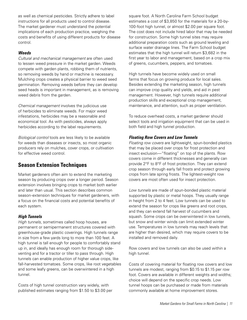<span id="page-12-0"></span>as well as chemical pesticides. Strictly adhere to label instructions for all products used to control disease. The market gardener must understand the potential implications of each production practice, weighing the costs and benefits of using different products for disease control.

#### *Weeds*

*Cultural and mechanical management* are often used to lessen weed pressure in the market garden. Weeds compete with garden plants, robbing them of nutrients, so removing weeds by hand or machine is necessary. Mulching crops creates a physical barrier to weed seed germination. Removing weeds before they can develop seed heads is important in management, as is removing weed debris from the garden.

*Chemical management* involves the judicious use of herbicides to eliminate weeds. For major weed infestations, herbicides may be a reasonable and economical tool. As with pesticides, always apply herbicides according to the label requirements.

*Biological control* tools are less likely to be available for weeds than diseases or insects, so most organic producers rely on mulches, cover crops, or cultivation for effective weed control.

### **Season Extension Techniques**

Market gardeners often aim to extend the marketing season by producing crops over a longer period. Season extension involves bringing crops to market both earlier and later than usual. This section describes common season-extension techniques for market gardeners, with a focus on the financial costs and potential benefits of each system.

#### *High Tunnels*

*High tunnels*, sometimes called hoop houses, are permanent or semipermanent structures covered with greenhouse-grade plastic coverings. High tunnels range in size from a few yards long to more than 100 feet. A high tunnel is tall enough for people to comfortably stand up in, and ideally has enough room for thorough sideventing and for a tractor or tiller to pass through. High tunnels can enable production of higher value crops, like fall-harvested tomatoes. Some crops, like root vegetables and some leafy greens, can be overwintered in a high tunnel.

Costs of high tunnel construction vary widely, with published estimates ranging from \$1.50 to \$3.00 per

square foot. A North Carolina Farm School budget estimates a cost of \$3,850 for the materials for a 20-by-100-foot high tunnel, or almost \$2.00 per square foot. The cost does not include hired labor that may be needed for construction. Some high tunnel sites may require additional preparation costs such as ground leveling and surface water drainage lines. The Farm School budget estimates that the high tunnel will return \$3,682 in the first year to labor and management, based on a crop mix of greens, cucumbers, peppers, and tomatoes.

High tunnels have become widely used on small farms that focus on growing produce for local sales. Besides extending the marketing season, high tunnels can improve crop quality and yields, and aid in pest management. However, high tunnels require additional production skills and exceptional crop management, maintenance, and attention, such as proper ventilation.

To reduce overhead costs, a market gardener should select tools and irrigation equipment that can be used in both field and high tunnel production.

#### *Floating Row Covers and Low Tunnels*

*Floating row covers* are lightweight, spun-bonded plastics that may be placed over crops for frost protection and insect exclusion—"floating" on top of the plants. Row covers come in different thicknesses and generally can provide 2°F to 8°F of frost protection. They can extend crop season through early fall frosts and protect growing crops from late spring frosts. The lightest-weight row covers are most often used for insect protection.

*Low tunnels* are made of spun-bonded plastic material supported by plastic or metal hoops. They usually range in height from 2 to 4 feet. Low tunnels can be used to extend the season for crops like greens and root crops, and they can extend fall harvest of cucumbers and squash. Some crops can be overwintered in low tunnels, but snow and winter winds can limit extended winter use. Temperatures in low tunnels may reach levels that are higher than desired, which may require covers to be installed and removed daily.

Row covers and low tunnels can also be used within a high tunnel.

Costs of covering material for floating row covers and low tunnels are modest, ranging from \$0.15 to \$1.15 per row foot. Covers are available in different weights and widths; choice will depend on the specific crop needs. Low tunnel hoops can be purchased or made from materials commonly available at home improvement stores.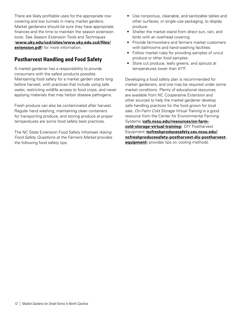<span id="page-13-0"></span>There are likely profitable uses for the appropriate row covering and low tunnels in many market gardens. Market gardeners should be sure they have appropriate finances and the time to maintain the season extension tools. See *Season Extension Tools and Techniques* (**[www.uky.edu/ccd/sites/www.uky.edu.ccd/files/](http://www.uky.edu/ccd/sites/www.uky.edu.ccd/files/extension.pdf) [extension.pdf](http://www.uky.edu/ccd/sites/www.uky.edu.ccd/files/extension.pdf)**) for more information.

### **Postharvest Handling and Food Safety**

A market gardener has a responsibility to provide consumers with the safest products possible. Maintaining food safety for a market garden starts long before harvest, with practices that include using safe water, restricting wildlife access to food crops, and never applying materials that may harbor disease pathogens.

Fresh produce can also be contaminated after harvest. Regular hand washing, maintaining clean containers for transporting produce, and storing produce at proper temperatures are some food safety best practices.

The NC State Extension Food Safety Infosheet *Asking Food Safety Questions at the Farmers Market* provides the following food safety tips:

- Use nonporous, cleanable, and sanitizable tables and other surfaces, or single-use packaging, to display produce.
- Shelter the market stand from direct sun, rain, and birds with an overhead covering.
- Provide farmworkers and farmers market customers with bathrooms and hand-washing facilities.
- Follow market rules for providing samples of uncut produce or other food samples.
- Store cut produce, leafy greens, and sprouts at temperatures lower than 41ºF.

Developing a food safety plan is recommended for market gardeners, and one may be required under some market conditions. Plenty of educational resources are available from NC Cooperative Extension and other sources to help the market gardener develop safe handling practices for the food grown for local sale. *On-Farm Cold Storage Virtual Training* is a good resource from the Center for Environmental Farming Systems (**[cefs.ncsu.edu/resources/on-farm](https://cefs.ncsu.edu/resources/on-farm-cold-storage-virtual-training/)[cold-storage-virtual-training](https://cefs.ncsu.edu/resources/on-farm-cold-storage-virtual-training/)**). DIY Postharvest Equipment (**[ncfreshproducesafety.ces.ncsu.edu/](https://ncfreshproducesafety.ces.ncsu.edu/ncfreshproducesafety-postharvest-diy-postharvest-equipment) [ncfreshproducesafety-postharvest-diy-postharvest](https://ncfreshproducesafety.ces.ncsu.edu/ncfreshproducesafety-postharvest-diy-postharvest-equipment)[equipment](https://ncfreshproducesafety.ces.ncsu.edu/ncfreshproducesafety-postharvest-diy-postharvest-equipment)**) provides tips on cooling methods.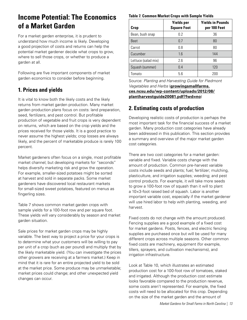## <span id="page-14-0"></span>**Income Potential: The Economics of a Market Garden**

For a market garden enterprise, it is prudent to understand how much income is likely. Developing a good projection of costs and returns can help the potential market gardener decide what crops to grow, where to sell those crops, or whether to produce a garden at all.

Following are five important components of market garden economics to consider before beginning.

### **1. Prices and yields**

It is vital to know both the likely costs and the likely returns from market garden production. Many market garden production plans focus on costs: land preparation, seed, fertilizers, and pest control. But profitable production of vegetable and fruit crops is very dependent on returns, which are based on the crop yields and the prices received for those yields. It is a good practice to never assume the highest yields; crop losses are always likely, and the percent of marketable produce is rarely 100 percent.

Market gardeners often focus on a single, most profitable market channel; but developing markets for "seconds" helps diversify marketing risk and grow the operation. For example, smaller-sized potatoes might be sorted at harvest and sold in separate packs. Some market gardeners have discovered local restaurant markets for small-sized sweet potatoes, featured on menus as fingerling sizes.

Table 7 shows common market garden crops with sample yields for a 100-foot row and per square foot. These yields will vary considerably by season and market garden situation.

Sale prices for market garden crops may be highly variable. The best way to project a price for your crops is to determine what your customers will be willing to pay per unit of a crop (such as per pound) and multiply that by the likely marketable yield. (You can investigate the prices other growers are receiving at a farmers market.) Keep in mind that it is rare for an entire projected yield to be sold at the market price. Some produce may be unmarketable; market prices could change; and other unexpected yield changes can occur.

#### **Table 7. Common Market Crops with Sample Yields**

| Crop                | <b>Yields per</b><br><b>Square Foot</b> | <b>Yields in Pounds</b><br>per 100 Feet |
|---------------------|-----------------------------------------|-----------------------------------------|
| Bean, bush snap     | 0.2                                     | 36                                      |
| <b>Beet</b>         | 07                                      | 80                                      |
| Carrot              | 0.8                                     | 80                                      |
| Cucumber            | 1.6                                     | 144                                     |
| Lettuce (salad mix) | 2.6                                     | 96                                      |
| Squash (summer)     | 0.4                                     | 120                                     |
| Tomato              | 5.6                                     | 200                                     |

Source: *Planting and Harvesting Guide for Piedmont Vegetables and Herbs* (**[growingsmallfarms.](https://growingsmallfarms.ces.ncsu.edu/wp-content/uploads/2012/08/plantharvestguide20081.pdf?fwd=no) [ces.ncsu.edu/wp-content/uploads/2012/08/](https://growingsmallfarms.ces.ncsu.edu/wp-content/uploads/2012/08/plantharvestguide20081.pdf?fwd=no) [plantharvestguide20081.pdf?fwd=no](https://growingsmallfarms.ces.ncsu.edu/wp-content/uploads/2012/08/plantharvestguide20081.pdf?fwd=no)**)

### **2. Estimating costs of production**

Developing realistic costs of production is perhaps the most important task for the financial success of a market garden. Many production cost categories have already been addressed in this publication. This section provides a summary and overview of the major market garden cost categories.

There are two cost categories for a market garden: variable and fixed. Variable costs change with the amount of production. Common pre-harvest variable costs include seeds and plants; fuel; fertilizer; mulching, plasticulture, and irrigation supplies; weeding; and pest control products. For example, it will take more seeds to grow a 100-foot row of squash than it will to plant a 10×3-foot raised bed of squash. Labor is another important variable cost, especially if the market gardener will use hired labor to help with planting, weeding, and harvest.

Fixed costs do not change with the amount produced. Fencing supplies are a good example of a fixed cost for market gardens. Posts, fences, and electric fencing supplies are purchased once but will be used for many different crops across multiple seasons. Other common fixed costs are machinery, equipment (for example, tillers, sprayers, and cultivation mechanisms), and irrigation infrastructure.

Look at Table 10, which illustrates an estimated production cost for a 100-foot row of tomatoes, staked and irrigated. Although the production cost estimate looks favorable compared to the production revenue, some costs aren't represented. For example, the fixed costs will need to be allocated for this crop. Depending on the size of the market garden and the amount of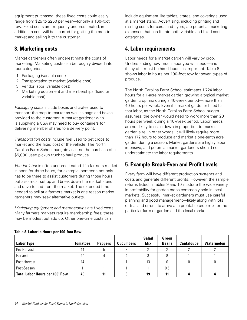<span id="page-15-0"></span>equipment purchased, these fixed costs could easily range from \$25 to \$250 per year—for only a 100-foot row. Fixed costs are frequently underestimated; in addition, a cost will be incurred for getting the crop to market and selling it to the customer.

### **3. Marketing costs**

Market gardeners often underestimate the costs of marketing. Marketing costs can be roughly divided into four categories:

- 1. Packaging (variable cost)
- 2. Transportation to market (variable cost)
- 3. Vendor labor (variable cost)
- 4. Marketing equipment and memberships (fixed or variable cost)

*Packaging costs* include boxes and crates used to transport the crop to market as well as bags and boxes provided to the customer. A market gardener who is supplying a CSA may need to buy containers for delivering member shares to a delivery point.

*Transportation costs* include fuel used to get crops to market and the fixed cost of the vehicle. The North Carolina Farm School budgets assume the purchase of a \$5,000 used pickup truck to haul produce.

*Vendor labor* is often underestimated. If a farmers market is open for three hours, for example, someone not only has to be there to assist customers during those hours but also must set up and break down the market stand and drive to and from the market. The extended time needed to sell at a farmers market is one reason market gardeners may seek alternative outlets.

*Marketing equipment and memberships* are fixed costs. Many farmers markets require membership fees; these may be modest but add up. Other one-time costs can

include equipment like tables, crates, and coverings used at a market stand. Advertising, including printing and mailing costs for cards and flyers, are potential marketing expenses that can fit into both variable and fixed cost categories.

### **4. Labor requirements**

Labor needs for a market garden will vary by crop. Understanding how much labor you will need—and if any of it must be hired labor—is important. Table 8 shows labor in hours per 100-foot row for seven types of produce.

The North Carolina Farm School estimates 1,724 labor hours for a 1-acre market garden growing a typical market garden crop mix during a 40-week period—more than 40 hours per week. Even if a market gardener hired half that labor, as the North Carolina Farm School budget assumes, the owner would need to work more than 20 hours per week during a 40-week period. Labor needs are not likely to scale down in proportion to market garden size; in other words, it will likely require more than 172 hours to produce and market a one-tenth acre garden during a season. Market gardens are highly labor intensive, and potential market gardeners should not underestimate the labor requirements.

### **5. Example Break-Even and Profit Levels**

Every farm will have different production systems and costs and generate different profits. However, the sample returns listed in Tables 9 and 10 illustrate the wide variety in profitability for garden crops commonly sold in local markets. Successful market gardeners must use careful planning and good management—likely along with lots of trial and error—to arrive at a profitable crop mix for the particular farm or garden and the local market.

| <b>Labor Type</b>                     | <b>Tomatoes</b> | <b>Peppers</b> | <b>Cucumbers</b> | <b>Salad</b><br>Mix | Green<br><b>Beans</b> | <b>Cantaloupe</b> | <b>Watermelon</b> |
|---------------------------------------|-----------------|----------------|------------------|---------------------|-----------------------|-------------------|-------------------|
| Pre-Harvest                           | 14              |                |                  |                     |                       |                   |                   |
| Harvest                               | 20              |                |                  |                     |                       |                   |                   |
| Post-Harvest                          | 14              |                |                  | 13                  |                       |                   |                   |
| Post-Season                           |                 |                |                  |                     | 0.5                   |                   |                   |
| <b>Total Labor Hours per 100' Row</b> | 49              |                |                  | 19                  |                       |                   |                   |

#### **Table 8. Labor in Hours per 100-foot Row.**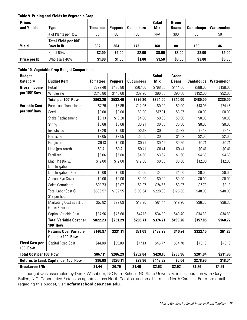#### **Table 9. Pricing and Yields by Vegetable Crop.**

| <b>Prices</b><br>and Yields | Type                                            | <b>Tomatoes</b> | <b>Peppers</b> | <b>Cucumbers</b> | <b>Salad</b><br>Mix | Green<br><b>Beans</b> | <b>Cantaloupe</b> | <b>Watermelon</b> |
|-----------------------------|-------------------------------------------------|-----------------|----------------|------------------|---------------------|-----------------------|-------------------|-------------------|
|                             | # of Plants per Row                             | 50              | 66             | 100              | N/A                 | 300                   | 50                | 50                |
| Yield                       | <b>Total Yield per 100'</b><br><b>Row in Ib</b> | 602             | 364            | 173              | 160                 | 80                    | 160               | 46                |
|                             | Retail 60%                                      | \$2.00          | \$2.00         | \$2.00           | \$8.00              | \$3.00                | \$3.00            | \$5.00            |
| Price per Ib                | Wholesale 40%                                   | \$1.00          | \$1.00         | \$1.00           | \$1.50              | \$3.00                | \$3.00            | \$5.00            |

#### **Table 10. Vegetable Crop Budget Comparison.**

| <b>Budget</b>                            |                                                   |                 |                |                  | <b>Salad</b> | Green        |                   |                   |
|------------------------------------------|---------------------------------------------------|-----------------|----------------|------------------|--------------|--------------|-------------------|-------------------|
| <b>Category</b>                          | <b>Budget Item</b>                                | <b>Tomatoes</b> | <b>Peppers</b> | <b>Cucumbers</b> | <b>Mix</b>   | <b>Beans</b> | <b>Cantaloupe</b> | <b>Watermelon</b> |
| <b>Gross Income</b>                      | Retail                                            | \$722.40        | \$436.80       | \$207.60         | \$768.00     | \$144.00     | \$288.00          | \$138.00          |
| per 100' Row                             | Wholesale                                         | \$240.80        | \$145.60       | \$69.20          | \$96.00      | \$96.00      | \$192.00          | \$92.00           |
|                                          | Total per 100' Row                                | \$963.20        | \$582.40       | \$276.80         | \$864.00     | \$240.00     | \$480.00          | \$230.00          |
| <b>Variable Cost</b>                     | <b>Purchased Transplants</b>                      | \$7.29          | \$6.85         | \$12.06          | \$0.00       | \$0.00       | \$13.98           | \$24.45           |
| per 100' Row                             | Seed                                              | \$0.00          | \$0.00         | \$0.00           | \$17.31      | \$3.07       | \$0.00            | \$0.00            |
|                                          | <b>Stake Replacement</b>                          | \$3.33          | \$13.20        | \$4.00           | \$0.00       | \$0.00       | \$0.00            | \$0.00            |
|                                          | String                                            | \$0.68          | \$0.68         | \$0.91           | \$0.00       | \$0.00       | \$0.00            | \$0.00            |
|                                          | Insecticide                                       | \$3.20          | \$0.00         | \$2.18           | \$0.05       | \$0.29       | \$2.18            | \$2.18            |
|                                          | Herbicide                                         | \$2.05          | \$2.05         | \$2.05           | \$0.00       | \$1.02       | \$2.05            | \$2.05            |
|                                          | Fungicide                                         | \$9.13          | \$0.00         | \$0.71           | \$0.49       | \$0.20       | \$0.71            | \$0.71            |
|                                          | Lime (pro-rated)                                  | \$0.41          | \$0.41         | \$0.41           | \$0.41       | \$0.41       | \$0.41            | \$0.41            |
|                                          | Fertilizer                                        | \$6.06          | \$5.80         | \$4.60           | \$3.64       | \$1.60       | \$4.60            | \$4.60            |
|                                          | Black Plastic w/                                  | \$12.00         | \$12.00        | \$12.00          | \$0.00       | \$0.00       | \$12.00           | \$12.00           |
|                                          | Drip Irrigation                                   |                 |                |                  |              |              |                   |                   |
|                                          | Drip Irrigation Only                              | \$0.00          | \$0.00         | \$0.00           | \$4.00       | \$4.00       | \$0.00            | \$0.00            |
|                                          | Annual Rye Cover                                  | \$0.00          | \$0.00         | \$0.00           | \$0.00       | \$0.00       | \$0.00            | \$0.00            |
|                                          | <b>Sales Containers</b>                           | \$98.73         | \$3.07         | \$3.07           | \$24.55      | \$3.07       | \$2.73            | \$3.18            |
|                                          | Total Labor Cost @<br>\$12 per hour               | \$586.57        | \$132.55       | \$103.64         | \$228.00     | \$126.00     | \$48.00           | \$48.00           |
|                                          | Marketing Cost at 8% of<br>Gross Revenue          | \$57.82         | \$29.09        | \$12.96          | \$61.44      | \$19.20      | \$36.36           | \$36.36           |
|                                          | Capital Variable Cost                             | \$34.96         | \$45.60        | \$47.13          | \$34.82      | \$40.40      | \$34.83           | \$34.83           |
|                                          | <b>Total Variable Cost per</b><br><b>100' Row</b> | \$822.23        | \$251.29       | \$205.71         | \$374.71     | \$199.26     | \$157.85          | \$168.77          |
|                                          | <b>Returns Over Variable</b><br>Cost per 100' Row | \$140.97        | \$331.11       | \$71.09          | \$489.29     | \$40.74      | \$322.15          | \$61.23           |
| <b>Fixed Cost per</b><br><b>100' Row</b> | <b>Capital Fixed Cost</b>                         | \$44.88         | \$35.00        | \$47.13          | \$45.47      | \$34.70      | \$43.19           | \$43.19           |
| <b>Total Cost per 100' Row</b>           |                                                   | \$867.11        | \$286.29       | \$252.84         | \$420.18     | \$233.96     | \$201.04          | \$211.96          |
|                                          | <b>Returns to Land, Capital per 100' Row</b>      | \$96.09         | \$296.11       | \$23.96          | \$443.82     | \$6.04       | \$278.96          | \$18.04           |
| <b>Breakeven \$/lb</b>                   |                                                   | \$1.44          | \$0.79         | \$1.46           | \$2.63       | \$2.92       | \$1.26            | \$4.61            |

This budget was assembled by Derek Washburn, NC Farm School, NC State University, in collaboration with Gary Bullen, N.C. Cooperative Extension agents across North Carolina, and small farms in North Carolina. For more detail regarding this budget, visit **[ncfarmschool.ces.ncsu.edu](https://ncfarmschool.ces.ncsu.edu/)**.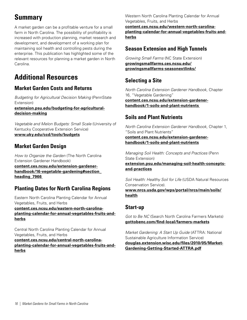# <span id="page-17-0"></span>**Summary**

A market garden can be a profitable venture for a small farm in North Carolina. The possibility of profitability is increased with production planning, market research and development, and development of a working plan for maintaining soil health and controlling pests during the enterprise. This publication has highlighted some of the relevant resources for planning a market garden in North Carolina.

# **Additional Resources**

### **Market Garden Costs and Returns**

*Budgeting for Agricultural Decision Making* (PennState Extension) **[extension.psu.edu/budgeting-for-agricultural](https://extension.psu.edu/budgeting-for-agricultural-decision-making)decision-making**

*Vegetable and Melon Budgets: Small Scale* (University of Kentucky Cooperative Extension Service) **[www.uky.edu/ccd/tools/budgets](https://www.uky.edu/ccd/tools/budgets)**

### **Market Garden Design**

*How to Organize the Garden* (The North Carolina Extension Gardener Handbook) **[content.ces.ncsu.edu/extension-gardener](https://content.ces.ncsu.edu/extension-gardener-handbook/16-vegetable-gardening#section_heading_7966)[handbook/16-vegetable-gardening#section\\_](https://content.ces.ncsu.edu/extension-gardener-handbook/16-vegetable-gardening#section_heading_7966) [heading\\_7966](https://content.ces.ncsu.edu/extension-gardener-handbook/16-vegetable-gardening#section_heading_7966)**

### **Planting Dates for North Carolina Regions**

Eastern North Carolina Planting Calendar for Annual Vegetables, Fruits, and Herbs

**[content.ces.ncsu.edu/eastern-north-carolina](https://content.ces.ncsu.edu/eastern-north-carolina-planting-calendar-for-annual-vegetables-fruits-a)[planting-calendar-for-annual-vegetables-fruits-and](https://content.ces.ncsu.edu/eastern-north-carolina-planting-calendar-for-annual-vegetables-fruits-a)[herbs](https://content.ces.ncsu.edu/eastern-north-carolina-planting-calendar-for-annual-vegetables-fruits-a)**

Central North Carolina Planting Calendar for Annual Vegetables, Fruits, and Herbs

**[content.ces.ncsu.edu/central-north-carolina](https://content.ces.ncsu.edu/central-north-carolina-planting-calendar-for-annual-vegetables-fruits-a)[planting-calendar-for-annual-vegetables-fruits-and](https://content.ces.ncsu.edu/central-north-carolina-planting-calendar-for-annual-vegetables-fruits-a)[herbs](https://content.ces.ncsu.edu/central-north-carolina-planting-calendar-for-annual-vegetables-fruits-a)**

Western North Carolina Planting Calendar for Annual Vegetables, Fruits, and Herbs **[content.ces.ncsu.edu/western-north-carolina](https://content.ces.ncsu.edu/western-north-carolina-planting-calendar-for-annual-vegetables-fruits-a)[planting-calendar-for-annual-vegetables-fruits-and](https://content.ces.ncsu.edu/western-north-carolina-planting-calendar-for-annual-vegetables-fruits-a)[herbs](https://content.ces.ncsu.edu/western-north-carolina-planting-calendar-for-annual-vegetables-fruits-a)**

### **Season Extension and High Tunnels**

*Growing Small Farms* (NC State Extension) **[growingsmallfarms.ces.ncsu.edu/](https://growingsmallfarms.ces.ncsu.edu/growingsmallfarms-seasonextlinks/) [growingsmallfarms-seasonextlinks/](https://growingsmallfarms.ces.ncsu.edu/growingsmallfarms-seasonextlinks/)**

### **Selecting a Site**

*North Carolina Extension Gardener Handbook*, Chapter 16, "Vegetable Gardening" **[content.ces.ncsu.edu/extension-gardener](https://content.ces.ncsu.edu/extension-gardener-handbook/1-soils-and-plant-nutrients)[handbook/1-soils-and-plant-nutrients](https://content.ces.ncsu.edu/extension-gardener-handbook/1-soils-and-plant-nutrients)**

### **Soils and Plant Nutrients**

*North Carolina Extension Gardener Handbook*, Chapter 1, "Soils and Plant Nutrients"

#### **[content.ces.ncsu.edu/extension-gardener](https://content.ces.ncsu.edu/extension-gardener-handbook/1-soils-and-plant-nutrients)[handbook/1-soils-and-plant-nutrients](https://content.ces.ncsu.edu/extension-gardener-handbook/1-soils-and-plant-nutrients)**

*Managing Soil Health: Concepts and Practices* (Penn State Extension) **[extension.psu.edu/managing-soil-health-concepts](https://extension.psu.edu/managing-soil-health-concepts-and-practices)[and-practices](https://extension.psu.edu/managing-soil-health-concepts-and-practices)**

*Soil Health: Healthy Soil for Life* (USDA Natural Resources Conservation Service).

**[www.nrcs.usda.gov/wps/portal/nrcs/main/soils/](https://www.nrcs.usda.gov/wps/portal/nrcs/main/soils/health) [health](https://www.nrcs.usda.gov/wps/portal/nrcs/main/soils/health)**

### **Start-up**

*Got to Be NC* (Search North Carolina Farmers Markets) **[gottobenc.com/find-local/farmers-markets](https://gottobenc.com/find-local/farmers-markets/)**

*Market Gardening: A Start Up Guide* (ATTRA: National Sustainable Agriculture Information Service) **[douglas.extension.wisc.edu/files/2010/05/Market-](https://douglas.extension.wisc.edu/files/2010/05/Market-Gardening-Getting-Started-ATTRA.pdf)[Gardening-Getting-Started-ATTRA.pdf](https://douglas.extension.wisc.edu/files/2010/05/Market-Gardening-Getting-Started-ATTRA.pdf)**